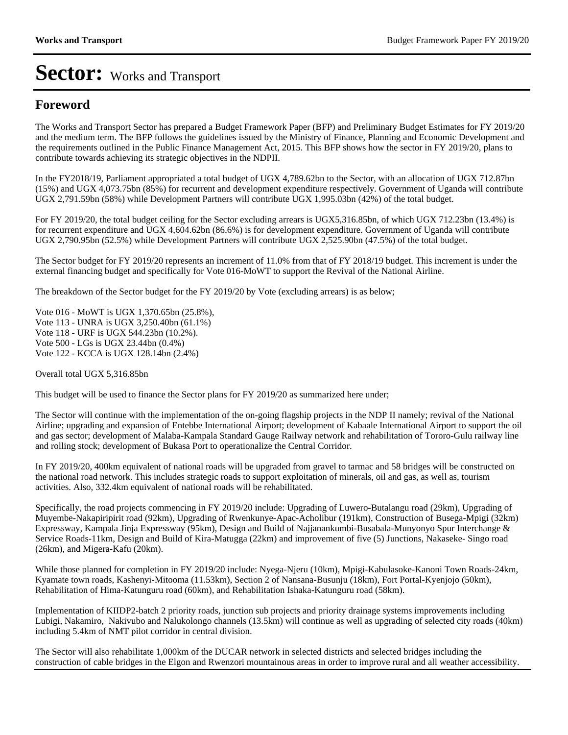### **Foreword**

The Works and Transport Sector has prepared a Budget Framework Paper (BFP) and Preliminary Budget Estimates for FY 2019/20 and the medium term. The BFP follows the guidelines issued by the Ministry of Finance, Planning and Economic Development and the requirements outlined in the Public Finance Management Act, 2015. This BFP shows how the sector in FY 2019/20, plans to contribute towards achieving its strategic objectives in the NDPII.

In the FY2018/19, Parliament appropriated a total budget of UGX 4,789.62bn to the Sector, with an allocation of UGX 712.87bn (15%) and UGX 4,073.75bn (85%) for recurrent and development expenditure respectively. Government of Uganda will contribute UGX 2,791.59bn (58%) while Development Partners will contribute UGX 1,995.03bn (42%) of the total budget.

For FY 2019/20, the total budget ceiling for the Sector excluding arrears is UGX5,316.85bn, of which UGX 712.23bn (13.4%) is for recurrent expenditure and UGX 4,604.62bn (86.6%) is for development expenditure. Government of Uganda will contribute UGX 2,790.95bn (52.5%) while Development Partners will contribute UGX 2,525.90bn (47.5%) of the total budget.

The Sector budget for FY 2019/20 represents an increment of 11.0% from that of FY 2018/19 budget. This increment is under the external financing budget and specifically for Vote 016-MoWT to support the Revival of the National Airline.

The breakdown of the Sector budget for the FY 2019/20 by Vote (excluding arrears) is as below;

Vote 016 - MoWT is UGX 1,370.65bn (25.8%), Vote 113 - UNRA is UGX 3,250.40bn (61.1%) Vote 118 - URF is UGX 544.23bn (10.2%). Vote 500 - LGs is UGX 23.44bn (0.4%) Vote 122 - KCCA is UGX 128.14bn (2.4%)

Overall total UGX 5,316.85bn

This budget will be used to finance the Sector plans for FY 2019/20 as summarized here under;

The Sector will continue with the implementation of the on-going flagship projects in the NDP II namely; revival of the National Airline; upgrading and expansion of Entebbe International Airport; development of Kabaale International Airport to support the oil and gas sector; development of Malaba-Kampala Standard Gauge Railway network and rehabilitation of Tororo-Gulu railway line and rolling stock; development of Bukasa Port to operationalize the Central Corridor.

In FY 2019/20, 400km equivalent of national roads will be upgraded from gravel to tarmac and 58 bridges will be constructed on the national road network. This includes strategic roads to support exploitation of minerals, oil and gas, as well as, tourism activities. Also, 332.4km equivalent of national roads will be rehabilitated.

Specifically, the road projects commencing in FY 2019/20 include: Upgrading of Luwero-Butalangu road (29km), Upgrading of Muyembe-Nakapiripirit road (92km), Upgrading of Rwenkunye-Apac-Acholibur (191km), Construction of Busega-Mpigi (32km) Expressway, Kampala Jinja Expressway (95km), Design and Build of Najjanankumbi-Busabala-Munyonyo Spur Interchange & Service Roads-11km, Design and Build of Kira-Matugga (22km) and improvement of five (5) Junctions, Nakaseke- Singo road (26km), and Migera-Kafu (20km).

While those planned for completion in FY 2019/20 include: Nyega-Njeru (10km), Mpigi-Kabulasoke-Kanoni Town Roads-24km, Kyamate town roads, Kashenyi-Mitooma (11.53km), Section 2 of Nansana-Busunju (18km), Fort Portal-Kyenjojo (50km), Rehabilitation of Hima-Katunguru road (60km), and Rehabilitation Ishaka-Katunguru road (58km).

Implementation of KIIDP2-batch 2 priority roads, junction sub projects and priority drainage systems improvements including Lubigi, Nakamiro, Nakivubo and Nalukolongo channels (13.5km) will continue as well as upgrading of selected city roads (40km) including 5.4km of NMT pilot corridor in central division.

The Sector will also rehabilitate 1,000km of the DUCAR network in selected districts and selected bridges including the construction of cable bridges in the Elgon and Rwenzori mountainous areas in order to improve rural and all weather accessibility.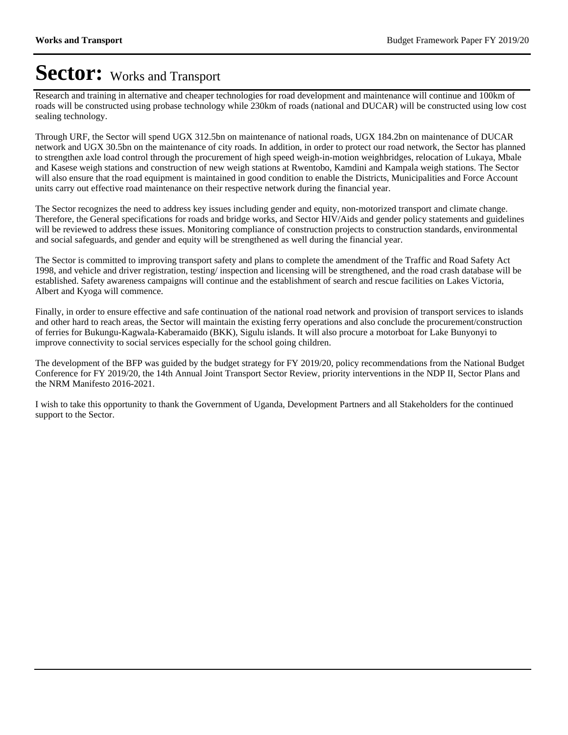Research and training in alternative and cheaper technologies for road development and maintenance will continue and 100km of roads will be constructed using probase technology while 230km of roads (national and DUCAR) will be constructed using low cost sealing technology.

Through URF, the Sector will spend UGX 312.5bn on maintenance of national roads, UGX 184.2bn on maintenance of DUCAR network and UGX 30.5bn on the maintenance of city roads. In addition, in order to protect our road network, the Sector has planned to strengthen axle load control through the procurement of high speed weigh-in-motion weighbridges, relocation of Lukaya, Mbale and Kasese weigh stations and construction of new weigh stations at Rwentobo, Kamdini and Kampala weigh stations. The Sector will also ensure that the road equipment is maintained in good condition to enable the Districts, Municipalities and Force Account units carry out effective road maintenance on their respective network during the financial year.

The Sector recognizes the need to address key issues including gender and equity, non-motorized transport and climate change. Therefore, the General specifications for roads and bridge works, and Sector HIV/Aids and gender policy statements and guidelines will be reviewed to address these issues. Monitoring compliance of construction projects to construction standards, environmental and social safeguards, and gender and equity will be strengthened as well during the financial year.

The Sector is committed to improving transport safety and plans to complete the amendment of the Traffic and Road Safety Act 1998, and vehicle and driver registration, testing/ inspection and licensing will be strengthened, and the road crash database will be established. Safety awareness campaigns will continue and the establishment of search and rescue facilities on Lakes Victoria, Albert and Kyoga will commence.

Finally, in order to ensure effective and safe continuation of the national road network and provision of transport services to islands and other hard to reach areas, the Sector will maintain the existing ferry operations and also conclude the procurement/construction of ferries for Bukungu-Kagwala-Kaberamaido (BKK), Sigulu islands. It will also procure a motorboat for Lake Bunyonyi to improve connectivity to social services especially for the school going children.

The development of the BFP was guided by the budget strategy for FY 2019/20, policy recommendations from the National Budget Conference for FY 2019/20, the 14th Annual Joint Transport Sector Review, priority interventions in the NDP II, Sector Plans and the NRM Manifesto 2016-2021.

I wish to take this opportunity to thank the Government of Uganda, Development Partners and all Stakeholders for the continued support to the Sector.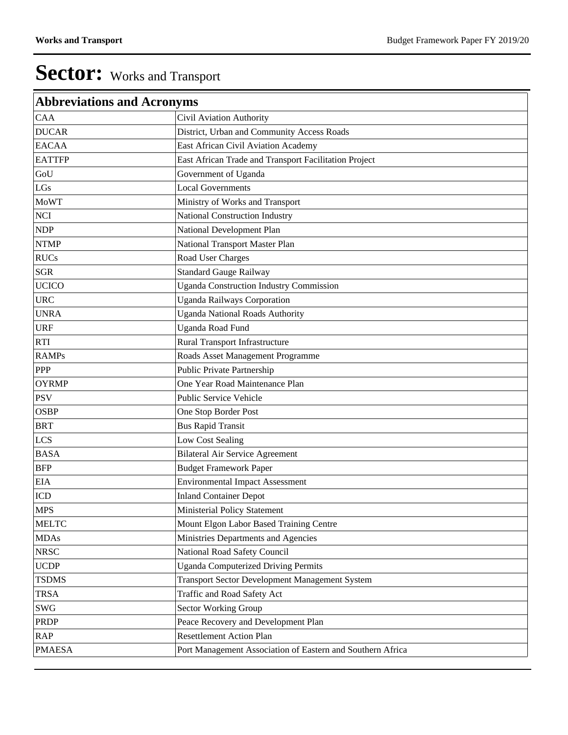| <b>Abbreviations and Acronyms</b> |                                                            |
|-----------------------------------|------------------------------------------------------------|
| CAA                               | Civil Aviation Authority                                   |
| <b>DUCAR</b>                      | District, Urban and Community Access Roads                 |
| <b>EACAA</b>                      | East African Civil Aviation Academy                        |
| <b>EATTFP</b>                     | East African Trade and Transport Facilitation Project      |
| GoU                               | Government of Uganda                                       |
| LGs                               | <b>Local Governments</b>                                   |
| <b>MoWT</b>                       | Ministry of Works and Transport                            |
| <b>NCI</b>                        | National Construction Industry                             |
| <b>NDP</b>                        | National Development Plan                                  |
| <b>NTMP</b>                       | National Transport Master Plan                             |
| <b>RUCs</b>                       | Road User Charges                                          |
| <b>SGR</b>                        | <b>Standard Gauge Railway</b>                              |
| <b>UCICO</b>                      | <b>Uganda Construction Industry Commission</b>             |
| <b>URC</b>                        | <b>Uganda Railways Corporation</b>                         |
| <b>UNRA</b>                       | <b>Uganda National Roads Authority</b>                     |
| <b>URF</b>                        | Uganda Road Fund                                           |
| <b>RTI</b>                        | Rural Transport Infrastructure                             |
| <b>RAMPs</b>                      | Roads Asset Management Programme                           |
| <b>PPP</b>                        | Public Private Partnership                                 |
| <b>OYRMP</b>                      | One Year Road Maintenance Plan                             |
| <b>PSV</b>                        | Public Service Vehicle                                     |
| <b>OSBP</b>                       | One Stop Border Post                                       |
| <b>BRT</b>                        | <b>Bus Rapid Transit</b>                                   |
| <b>LCS</b>                        | Low Cost Sealing                                           |
| <b>BASA</b>                       | <b>Bilateral Air Service Agreement</b>                     |
| <b>BFP</b>                        | <b>Budget Framework Paper</b>                              |
| <b>EIA</b>                        | <b>Environmental Impact Assessment</b>                     |
| ICD                               | <b>Inland Container Depot</b>                              |
| <b>MPS</b>                        | Ministerial Policy Statement                               |
| <b>MELTC</b>                      | Mount Elgon Labor Based Training Centre                    |
| <b>MDAs</b>                       | Ministries Departments and Agencies                        |
| <b>NRSC</b>                       | National Road Safety Council                               |
| <b>UCDP</b>                       | <b>Uganda Computerized Driving Permits</b>                 |
| <b>TSDMS</b>                      | Transport Sector Development Management System             |
| <b>TRSA</b>                       | Traffic and Road Safety Act                                |
| SWG                               | Sector Working Group                                       |
| PRDP                              | Peace Recovery and Development Plan                        |
| <b>RAP</b>                        | <b>Resettlement Action Plan</b>                            |
| <b>PMAESA</b>                     | Port Management Association of Eastern and Southern Africa |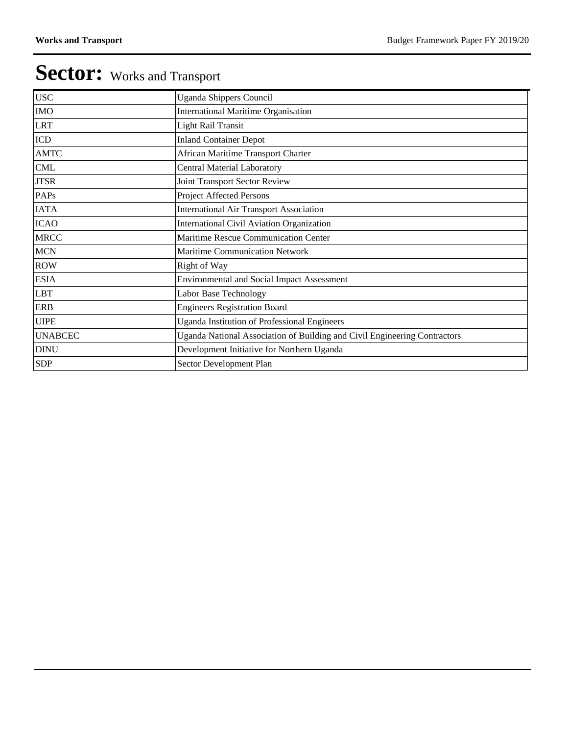| <b>Uganda Shippers Council</b>                                            |
|---------------------------------------------------------------------------|
| <b>International Maritime Organisation</b>                                |
| Light Rail Transit                                                        |
| <b>Inland Container Depot</b>                                             |
| African Maritime Transport Charter                                        |
| <b>Central Material Laboratory</b>                                        |
| Joint Transport Sector Review                                             |
| Project Affected Persons                                                  |
| <b>International Air Transport Association</b>                            |
| International Civil Aviation Organization                                 |
| Maritime Rescue Communication Center                                      |
| Maritime Communication Network                                            |
| Right of Way                                                              |
| <b>Environmental and Social Impact Assessment</b>                         |
| Labor Base Technology                                                     |
| <b>Engineers Registration Board</b>                                       |
| <b>Uganda Institution of Professional Engineers</b>                       |
| Uganda National Association of Building and Civil Engineering Contractors |
| Development Initiative for Northern Uganda                                |
| Sector Development Plan                                                   |
|                                                                           |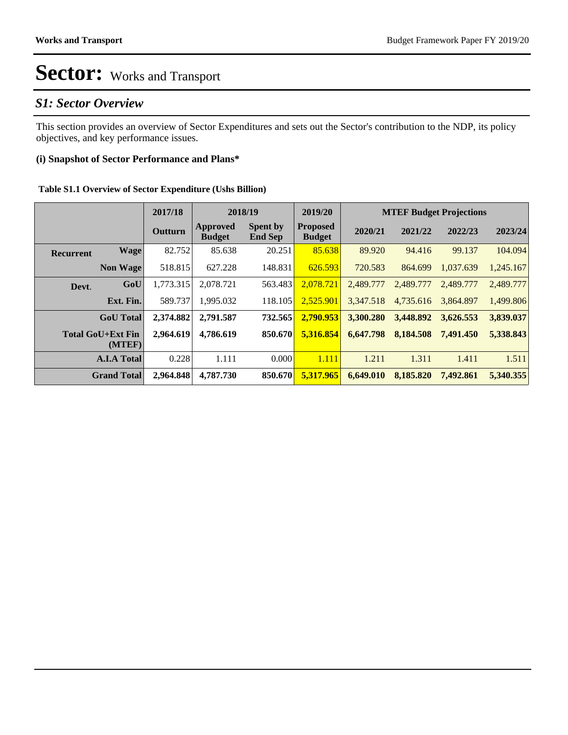### *S1: Sector Overview*

This section provides an overview of Sector Expenditures and sets out the Sector's contribution to the NDP, its policy objectives, and key performance issues.

#### **(i) Snapshot of Sector Performance and Plans\***

|  | Table S1.1 Overview of Sector Expenditure (Ushs Billion) |  |
|--|----------------------------------------------------------|--|
|  |                                                          |  |

|                  |                                    | 2017/18        |                           | 2018/19                           | 2019/20                          |           |           | <b>MTEF Budget Projections</b> |           |
|------------------|------------------------------------|----------------|---------------------------|-----------------------------------|----------------------------------|-----------|-----------|--------------------------------|-----------|
|                  |                                    | <b>Outturn</b> | Approved<br><b>Budget</b> | <b>Spent by</b><br><b>End Sep</b> | <b>Proposed</b><br><b>Budget</b> | 2020/21   | 2021/22   | 2022/23                        | 2023/24   |
| <b>Recurrent</b> | <b>Wage</b>                        | 82.752         | 85.638                    | 20.251                            | 85.638                           | 89.920    | 94.416    | 99.137                         | 104.094   |
|                  | <b>Non Wage</b>                    | 518.815        | 627.228                   | 148.831                           | 626.593                          | 720.583   | 864.699   | 1,037.639                      | 1,245.167 |
| Devt.            | GoU                                | 1,773.315      | 2.078.721                 | 563.483                           | 2.078.721                        | 2.489.777 | 2.489.777 | 2,489.777                      | 2,489.777 |
|                  | Ext. Fin.                          | 589.737        | 1.995.032                 | 118.105                           | 2.525.901                        | 3.347.518 | 4.735.616 | 3.864.897                      | 1.499.806 |
|                  | <b>GoU</b> Total                   | 2,374.882      | 2,791.587                 | 732.565                           | 2,790.953                        | 3,300.280 | 3,448.892 | 3,626.553                      | 3,839.037 |
|                  | <b>Total GoU+Ext Fin</b><br>(MTEF) | 2.964.619      | 4,786,619                 | 850.670                           | 5.316.854                        | 6,647.798 | 8,184.508 | 7,491.450                      | 5,338.843 |
|                  | <b>A.I.A Total</b>                 | 0.228          | 1.111                     | 0.000                             | 1.111                            | 1.211     | 1.311     | 1.411                          | 1.511     |
|                  | <b>Grand Total</b>                 | 2,964.848      | 4,787.730                 | 850.670                           | 5.317.965                        | 6,649.010 | 8,185.820 | 7,492.861                      | 5,340.355 |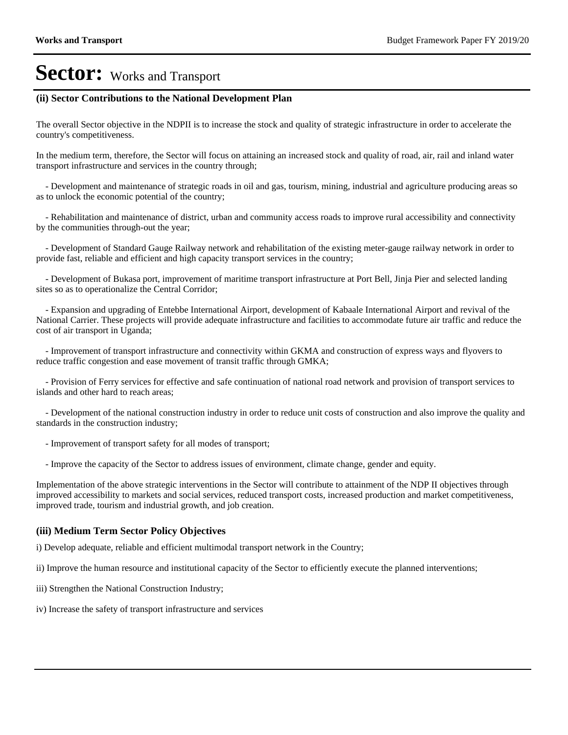#### **(ii) Sector Contributions to the National Development Plan**

The overall Sector objective in the NDPII is to increase the stock and quality of strategic infrastructure in order to accelerate the country's competitiveness.

In the medium term, therefore, the Sector will focus on attaining an increased stock and quality of road, air, rail and inland water transport infrastructure and services in the country through;

 - Development and maintenance of strategic roads in oil and gas, tourism, mining, industrial and agriculture producing areas so as to unlock the economic potential of the country;

 - Rehabilitation and maintenance of district, urban and community access roads to improve rural accessibility and connectivity by the communities through-out the year;

 - Development of Standard Gauge Railway network and rehabilitation of the existing meter-gauge railway network in order to provide fast, reliable and efficient and high capacity transport services in the country;

 - Development of Bukasa port, improvement of maritime transport infrastructure at Port Bell, Jinja Pier and selected landing sites so as to operationalize the Central Corridor;

 - Expansion and upgrading of Entebbe International Airport, development of Kabaale International Airport and revival of the National Carrier. These projects will provide adequate infrastructure and facilities to accommodate future air traffic and reduce the cost of air transport in Uganda;

 - Improvement of transport infrastructure and connectivity within GKMA and construction of express ways and flyovers to reduce traffic congestion and ease movement of transit traffic through GMKA;

 - Provision of Ferry services for effective and safe continuation of national road network and provision of transport services to islands and other hard to reach areas;

 - Development of the national construction industry in order to reduce unit costs of construction and also improve the quality and standards in the construction industry;

- Improvement of transport safety for all modes of transport;

- Improve the capacity of the Sector to address issues of environment, climate change, gender and equity.

Implementation of the above strategic interventions in the Sector will contribute to attainment of the NDP II objectives through improved accessibility to markets and social services, reduced transport costs, increased production and market competitiveness, improved trade, tourism and industrial growth, and job creation.

#### **(iii) Medium Term Sector Policy Objectives**

i) Develop adequate, reliable and efficient multimodal transport network in the Country;

ii) Improve the human resource and institutional capacity of the Sector to efficiently execute the planned interventions;

- iii) Strengthen the National Construction Industry;
- iv) Increase the safety of transport infrastructure and services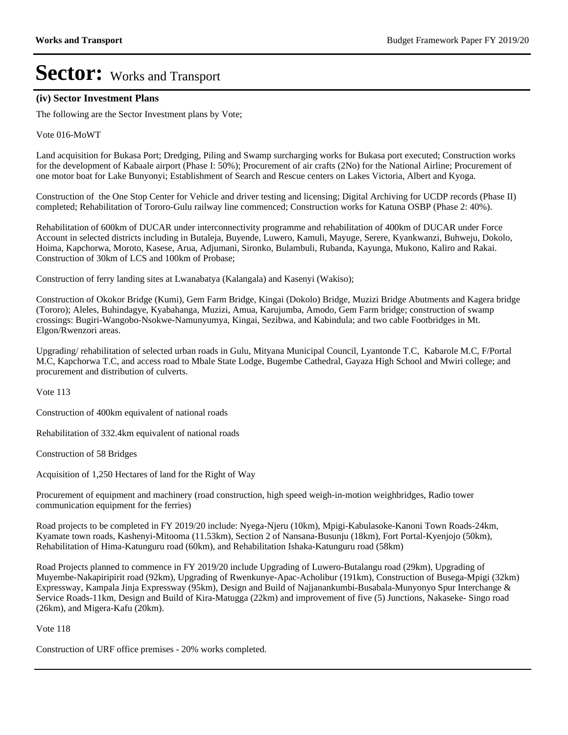#### **(iv) Sector Investment Plans**

The following are the Sector Investment plans by Vote;

Vote 016-MoWT

Land acquisition for Bukasa Port; Dredging, Piling and Swamp surcharging works for Bukasa port executed; Construction works for the development of Kabaale airport (Phase I: 50%); Procurement of air crafts (2No) for the National Airline; Procurement of one motor boat for Lake Bunyonyi; Establishment of Search and Rescue centers on Lakes Victoria, Albert and Kyoga.

Construction of the One Stop Center for Vehicle and driver testing and licensing; Digital Archiving for UCDP records (Phase II) completed; Rehabilitation of Tororo-Gulu railway line commenced; Construction works for Katuna OSBP (Phase 2: 40%).

Rehabilitation of 600km of DUCAR under interconnectivity programme and rehabilitation of 400km of DUCAR under Force Account in selected districts including in Butaleja, Buyende, Luwero, Kamuli, Mayuge, Serere, Kyankwanzi, Buhweju, Dokolo, Hoima, Kapchorwa, Moroto, Kasese, Arua, Adjumani, Sironko, Bulambuli, Rubanda, Kayunga, Mukono, Kaliro and Rakai. Construction of 30km of LCS and 100km of Probase;

Construction of ferry landing sites at Lwanabatya (Kalangala) and Kasenyi (Wakiso);

Construction of Okokor Bridge (Kumi), Gem Farm Bridge, Kingai (Dokolo) Bridge, Muzizi Bridge Abutments and Kagera bridge (Tororo); Aleles, Buhindagye, Kyabahanga, Muzizi, Amua, Karujumba, Amodo, Gem Farm bridge; construction of swamp crossings: Bugiri-Wangobo-Nsokwe-Namunyumya, Kingai, Sezibwa, and Kabindula; and two cable Footbridges in Mt. Elgon/Rwenzori areas.

Upgrading/ rehabilitation of selected urban roads in Gulu, Mityana Municipal Council, Lyantonde T.C, Kabarole M.C, F/Portal M.C, Kapchorwa T.C, and access road to Mbale State Lodge, Bugembe Cathedral, Gayaza High School and Mwiri college; and procurement and distribution of culverts.

Vote 113

Construction of 400km equivalent of national roads

Rehabilitation of 332.4km equivalent of national roads

Construction of 58 Bridges

Acquisition of 1,250 Hectares of land for the Right of Way

Procurement of equipment and machinery (road construction, high speed weigh-in-motion weighbridges, Radio tower communication equipment for the ferries)

Road projects to be completed in FY 2019/20 include: Nyega-Njeru (10km), Mpigi-Kabulasoke-Kanoni Town Roads-24km, Kyamate town roads, Kashenyi-Mitooma (11.53km), Section 2 of Nansana-Busunju (18km), Fort Portal-Kyenjojo (50km), Rehabilitation of Hima-Katunguru road (60km), and Rehabilitation Ishaka-Katunguru road (58km)

Road Projects planned to commence in FY 2019/20 include Upgrading of Luwero-Butalangu road (29km), Upgrading of Muyembe-Nakapiripirit road (92km), Upgrading of Rwenkunye-Apac-Acholibur (191km), Construction of Busega-Mpigi (32km) Expressway, Kampala Jinja Expressway (95km), Design and Build of Najjanankumbi-Busabala-Munyonyo Spur Interchange & Service Roads-11km, Design and Build of Kira-Matugga (22km) and improvement of five (5) Junctions, Nakaseke- Singo road (26km), and Migera-Kafu (20km).

Vote 118

Construction of URF office premises - 20% works completed.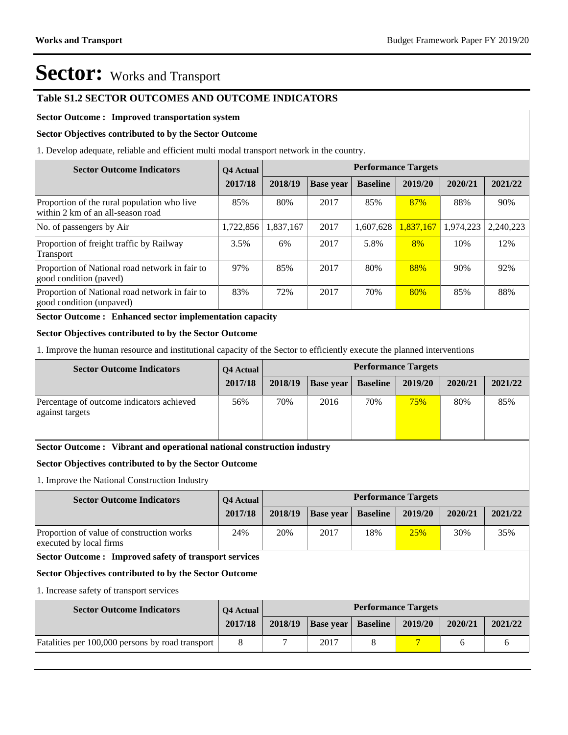#### **Table S1.2 SECTOR OUTCOMES AND OUTCOME INDICATORS**

#### **Sector Outcome : Improved transportation system**

#### **Sector Objectives contributed to by the Sector Outcome**

1. Develop adequate, reliable and efficient multi modal transport network in the country.

| <b>Sector Outcome Indicators</b>                                                 | <b>O4</b> Actual |           |                  |                 | <b>Performance Targets</b> |           |           |
|----------------------------------------------------------------------------------|------------------|-----------|------------------|-----------------|----------------------------|-----------|-----------|
|                                                                                  | 2017/18          | 2018/19   | <b>Base</b> year | <b>Baseline</b> | 2019/20                    | 2020/21   | 2021/22   |
| Proportion of the rural population who live<br>within 2 km of an all-season road | 85%              | 80%       | 2017             | 85%             | 87%                        | 88%       | 90%       |
| No. of passengers by Air                                                         | 1,722,856        | 1,837,167 | 2017             | 1,607,628       | 1.837.167                  | 1,974,223 | 2.240.223 |
| Proportion of freight traffic by Railway<br>Transport                            | 3.5%             | 6%        | 2017             | 5.8%            | 8%                         | 10%       | 12%       |
| Proportion of National road network in fair to<br>good condition (paved)         | 97%              | 85%       | 2017             | 80%             | 88%                        | 90%       | 92%       |
| Proportion of National road network in fair to<br>good condition (unpaved)       | 83%              | 72%       | 2017             | 70%             | 80%                        | 85%       | 88%       |

**Sector Outcome : Enhanced sector implementation capacity**

#### **Sector Objectives contributed to by the Sector Outcome**

1. Improve the human resource and institutional capacity of the Sector to efficiently execute the planned interventions

| <b>Sector Outcome Indicators</b>                             | <b>O4 Actual</b> |         |                  |                 | <b>Performance Targets</b> |         |         |
|--------------------------------------------------------------|------------------|---------|------------------|-----------------|----------------------------|---------|---------|
|                                                              | 2017/18          | 2018/19 | <b>Base year</b> | <b>Baseline</b> | 2019/20                    | 2020/21 | 2021/22 |
| Percentage of outcome indicators achieved<br>against targets | 56%              | 70%     | 2016             | 70%             | 75%                        | 80%     | 85%     |

#### **Sector Outcome : Vibrant and operational national construction industry**

#### **Sector Objectives contributed to by the Sector Outcome**

1. Improve the National Construction Industry

| <b>Sector Outcome Indicators</b>                                     | <b>O4 Actual</b> |         |                           |     | <b>Performance Targets</b> |         |         |
|----------------------------------------------------------------------|------------------|---------|---------------------------|-----|----------------------------|---------|---------|
|                                                                      | 2017/18          | 2018/19 | <b>Base year Baseline</b> |     | 2019/20                    | 2020/21 | 2021/22 |
| Proportion of value of construction works<br>executed by local firms | 24%              | 20%     | 2017                      | 18% | 25%                        | 30%     | 35%     |

#### **Sector Outcome : Improved safety of transport services**

#### **Sector Objectives contributed to by the Sector Outcome**

1. Increase safety of transport services

| <b>Sector Outcome Indicators</b>                 | <b>O4 Actual</b> |         |                  |                 | <b>Performance Targets</b> |         |         |
|--------------------------------------------------|------------------|---------|------------------|-----------------|----------------------------|---------|---------|
|                                                  | 2017/18          | 2018/19 | <b>Base year</b> | <b>Baseline</b> | 2019/20                    | 2020/21 | 2021/22 |
| Fatalities per 100,000 persons by road transport |                  |         | 2017             |                 |                            |         |         |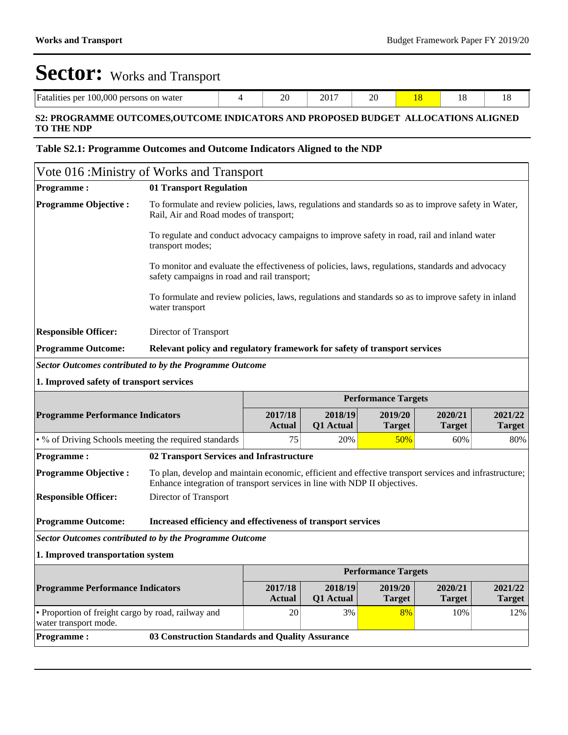| $100.000$ persons<br>Fatalities<br>per<br>on water | - -<br>10<br>- | 2017<br>∠∪ | ററ<br>$\sim$ |  |  |
|----------------------------------------------------|----------------|------------|--------------|--|--|
|                                                    |                |            |              |  |  |

#### **S2: PROGRAMME OUTCOMES,OUTCOME INDICATORS AND PROPOSED BUDGET ALLOCATIONS ALIGNED TO THE NDP**

#### **Table S2.1: Programme Outcomes and Outcome Indicators Aligned to the NDP**

| Vote 016 : Ministry of Works and Transport                                  |                                                                                                                                                                                     |                          |                      |                            |                          |                          |
|-----------------------------------------------------------------------------|-------------------------------------------------------------------------------------------------------------------------------------------------------------------------------------|--------------------------|----------------------|----------------------------|--------------------------|--------------------------|
| <b>Programme:</b>                                                           | 01 Transport Regulation                                                                                                                                                             |                          |                      |                            |                          |                          |
| <b>Programme Objective:</b>                                                 | To formulate and review policies, laws, regulations and standards so as to improve safety in Water,<br>Rail, Air and Road modes of transport;                                       |                          |                      |                            |                          |                          |
|                                                                             | To regulate and conduct advocacy campaigns to improve safety in road, rail and inland water<br>transport modes;                                                                     |                          |                      |                            |                          |                          |
|                                                                             | To monitor and evaluate the effectiveness of policies, laws, regulations, standards and advocacy<br>safety campaigns in road and rail transport;                                    |                          |                      |                            |                          |                          |
|                                                                             | To formulate and review policies, laws, regulations and standards so as to improve safety in inland<br>water transport                                                              |                          |                      |                            |                          |                          |
| <b>Responsible Officer:</b>                                                 | Director of Transport                                                                                                                                                               |                          |                      |                            |                          |                          |
| <b>Programme Outcome:</b>                                                   | Relevant policy and regulatory framework for safety of transport services                                                                                                           |                          |                      |                            |                          |                          |
| Sector Outcomes contributed to by the Programme Outcome                     |                                                                                                                                                                                     |                          |                      |                            |                          |                          |
| 1. Improved safety of transport services                                    |                                                                                                                                                                                     |                          |                      |                            |                          |                          |
|                                                                             |                                                                                                                                                                                     |                          |                      | <b>Performance Targets</b> |                          |                          |
| <b>Programme Performance Indicators</b>                                     |                                                                                                                                                                                     | 2017/18<br><b>Actual</b> | 2018/19<br>Q1 Actual | 2019/20<br><b>Target</b>   | 2020/21<br><b>Target</b> | 2021/22<br><b>Target</b> |
| • % of Driving Schools meeting the required standards                       |                                                                                                                                                                                     | 75                       | 20%                  | 50%                        | 60%                      | 80%                      |
| <b>Programme:</b>                                                           | 02 Transport Services and Infrastructure                                                                                                                                            |                          |                      |                            |                          |                          |
| <b>Programme Objective:</b>                                                 | To plan, develop and maintain economic, efficient and effective transport services and infrastructure;<br>Enhance integration of transport services in line with NDP II objectives. |                          |                      |                            |                          |                          |
| <b>Responsible Officer:</b>                                                 | Director of Transport                                                                                                                                                               |                          |                      |                            |                          |                          |
| <b>Programme Outcome:</b>                                                   | Increased efficiency and effectiveness of transport services                                                                                                                        |                          |                      |                            |                          |                          |
| Sector Outcomes contributed to by the Programme Outcome                     |                                                                                                                                                                                     |                          |                      |                            |                          |                          |
| 1. Improved transportation system                                           |                                                                                                                                                                                     |                          |                      |                            |                          |                          |
|                                                                             |                                                                                                                                                                                     |                          |                      | <b>Performance Targets</b> |                          |                          |
| <b>Programme Performance Indicators</b>                                     |                                                                                                                                                                                     | 2017/18                  | 2018/19              | 2019/20                    | 2020/21                  | 2021/22                  |
|                                                                             |                                                                                                                                                                                     | <b>Actual</b>            | Q1 Actual            | <b>Target</b>              | <b>Target</b>            | <b>Target</b>            |
| • Proportion of freight cargo by road, railway and<br>water transport mode. |                                                                                                                                                                                     | 20                       | 3%                   | 8%                         | 10%                      | 12%                      |
| <b>Programme:</b>                                                           | 03 Construction Standards and Quality Assurance                                                                                                                                     |                          |                      |                            |                          |                          |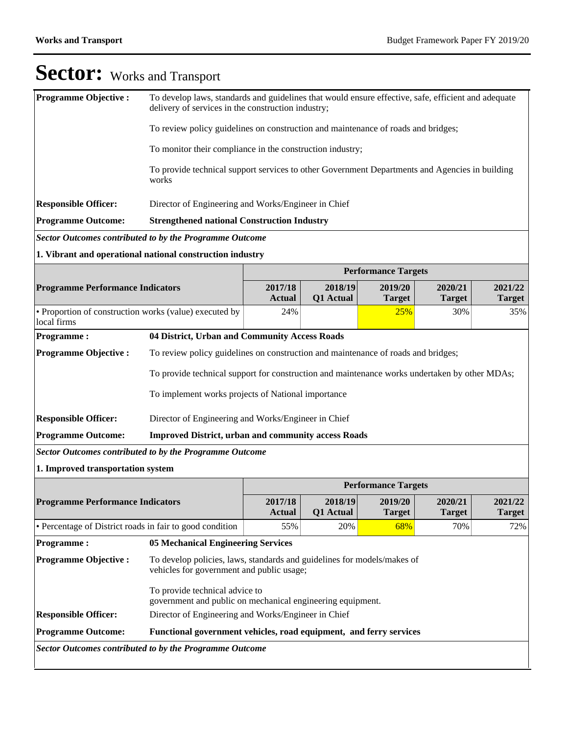| <b>Programme Objective:</b>                                           | To develop laws, standards and guidelines that would ensure effective, safe, efficient and adequate<br>delivery of services in the construction industry; |                          |                      |                            |                          |                          |
|-----------------------------------------------------------------------|-----------------------------------------------------------------------------------------------------------------------------------------------------------|--------------------------|----------------------|----------------------------|--------------------------|--------------------------|
|                                                                       | To review policy guidelines on construction and maintenance of roads and bridges;                                                                         |                          |                      |                            |                          |                          |
|                                                                       | To monitor their compliance in the construction industry;                                                                                                 |                          |                      |                            |                          |                          |
|                                                                       | To provide technical support services to other Government Departments and Agencies in building<br>works                                                   |                          |                      |                            |                          |                          |
| <b>Responsible Officer:</b>                                           | Director of Engineering and Works/Engineer in Chief                                                                                                       |                          |                      |                            |                          |                          |
| <b>Programme Outcome:</b>                                             | <b>Strengthened national Construction Industry</b>                                                                                                        |                          |                      |                            |                          |                          |
| <b>Sector Outcomes contributed to by the Programme Outcome</b>        |                                                                                                                                                           |                          |                      |                            |                          |                          |
| 1. Vibrant and operational national construction industry             |                                                                                                                                                           |                          |                      |                            |                          |                          |
|                                                                       |                                                                                                                                                           |                          |                      | <b>Performance Targets</b> |                          |                          |
| <b>Programme Performance Indicators</b>                               |                                                                                                                                                           | 2017/18<br><b>Actual</b> | 2018/19<br>Q1 Actual | 2019/20<br><b>Target</b>   | 2020/21<br><b>Target</b> | 2021/22<br><b>Target</b> |
| • Proportion of construction works (value) executed by<br>local firms |                                                                                                                                                           | 24%                      |                      | 25%                        | 30%                      | 35%                      |
| <b>Programme:</b>                                                     | 04 District, Urban and Community Access Roads                                                                                                             |                          |                      |                            |                          |                          |
| <b>Programme Objective:</b>                                           | To review policy guidelines on construction and maintenance of roads and bridges;                                                                         |                          |                      |                            |                          |                          |
|                                                                       | To provide technical support for construction and maintenance works undertaken by other MDAs;                                                             |                          |                      |                            |                          |                          |
|                                                                       | To implement works projects of National importance                                                                                                        |                          |                      |                            |                          |                          |
| <b>Responsible Officer:</b>                                           | Director of Engineering and Works/Engineer in Chief                                                                                                       |                          |                      |                            |                          |                          |
| <b>Programme Outcome:</b>                                             | <b>Improved District, urban and community access Roads</b>                                                                                                |                          |                      |                            |                          |                          |
| <b>Sector Outcomes contributed to by the Programme Outcome</b>        |                                                                                                                                                           |                          |                      |                            |                          |                          |
| 1. Improved transportation system                                     |                                                                                                                                                           |                          |                      |                            |                          |                          |
|                                                                       |                                                                                                                                                           |                          |                      | <b>Performance Targets</b> |                          |                          |
| <b>Programme Performance Indicators</b>                               |                                                                                                                                                           | 2017/18<br><b>Actual</b> | 2018/19<br>Q1 Actual | 2019/20<br><b>Target</b>   | 2020/21<br><b>Target</b> | 2021/22<br><b>Target</b> |
| • Percentage of District roads in fair to good condition              |                                                                                                                                                           | 55%                      | 20%                  | 68%                        | 70%                      | 72%                      |
| <b>Programme:</b>                                                     | <b>05 Mechanical Engineering Services</b>                                                                                                                 |                          |                      |                            |                          |                          |
| <b>Programme Objective:</b>                                           | To develop policies, laws, standards and guidelines for models/makes of<br>vehicles for government and public usage;                                      |                          |                      |                            |                          |                          |
|                                                                       | To provide technical advice to<br>government and public on mechanical engineering equipment.                                                              |                          |                      |                            |                          |                          |
| <b>Responsible Officer:</b>                                           | Director of Engineering and Works/Engineer in Chief                                                                                                       |                          |                      |                            |                          |                          |
| <b>Programme Outcome:</b>                                             | Functional government vehicles, road equipment, and ferry services                                                                                        |                          |                      |                            |                          |                          |
| <b>Sector Outcomes contributed to by the Programme Outcome</b>        |                                                                                                                                                           |                          |                      |                            |                          |                          |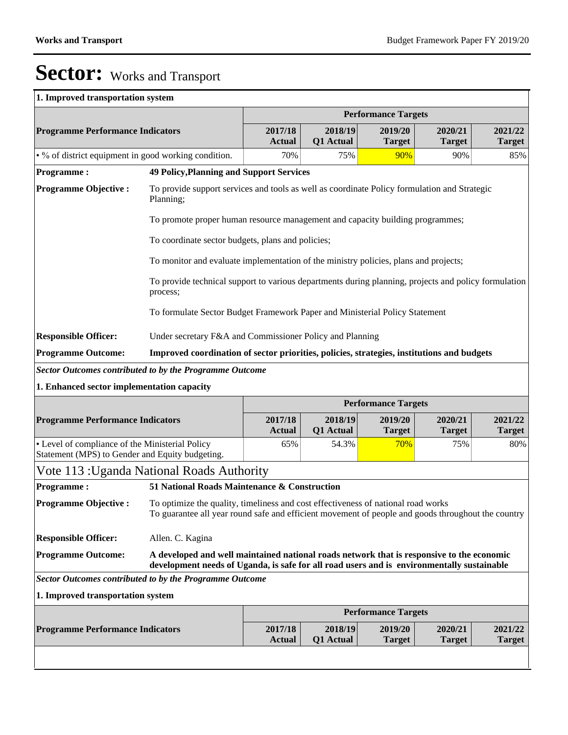Т

# Sector: Works and Transport

### **1. Improved transportation system**

|                                                                                                              |                                                                                                                                                                                         |                          |                      | <b>Performance Targets</b> |                          |                          |
|--------------------------------------------------------------------------------------------------------------|-----------------------------------------------------------------------------------------------------------------------------------------------------------------------------------------|--------------------------|----------------------|----------------------------|--------------------------|--------------------------|
| <b>Programme Performance Indicators</b>                                                                      |                                                                                                                                                                                         | 2017/18<br><b>Actual</b> | 2018/19<br>Q1 Actual | 2019/20<br><b>Target</b>   | 2020/21<br><b>Target</b> | 2021/22<br><b>Target</b> |
| • % of district equipment in good working condition.                                                         |                                                                                                                                                                                         | 70%                      | 75%                  | 90%                        | 90%                      | 85%                      |
| <b>Programme:</b>                                                                                            | <b>49 Policy, Planning and Support Services</b>                                                                                                                                         |                          |                      |                            |                          |                          |
| <b>Programme Objective:</b>                                                                                  | To provide support services and tools as well as coordinate Policy formulation and Strategic<br>Planning;                                                                               |                          |                      |                            |                          |                          |
|                                                                                                              | To promote proper human resource management and capacity building programmes;                                                                                                           |                          |                      |                            |                          |                          |
|                                                                                                              | To coordinate sector budgets, plans and policies;                                                                                                                                       |                          |                      |                            |                          |                          |
|                                                                                                              | To monitor and evaluate implementation of the ministry policies, plans and projects;                                                                                                    |                          |                      |                            |                          |                          |
|                                                                                                              | To provide technical support to various departments during planning, projects and policy formulation<br>process;                                                                        |                          |                      |                            |                          |                          |
|                                                                                                              | To formulate Sector Budget Framework Paper and Ministerial Policy Statement                                                                                                             |                          |                      |                            |                          |                          |
| <b>Responsible Officer:</b>                                                                                  | Under secretary F&A and Commissioner Policy and Planning                                                                                                                                |                          |                      |                            |                          |                          |
| <b>Programme Outcome:</b>                                                                                    | Improved coordination of sector priorities, policies, strategies, institutions and budgets                                                                                              |                          |                      |                            |                          |                          |
| <b>Sector Outcomes contributed to by the Programme Outcome</b>                                               |                                                                                                                                                                                         |                          |                      |                            |                          |                          |
| 1. Enhanced sector implementation capacity                                                                   |                                                                                                                                                                                         |                          |                      |                            |                          |                          |
|                                                                                                              |                                                                                                                                                                                         |                          |                      | <b>Performance Targets</b> |                          |                          |
|                                                                                                              |                                                                                                                                                                                         |                          |                      |                            |                          |                          |
| <b>Programme Performance Indicators</b>                                                                      |                                                                                                                                                                                         | 2017/18<br><b>Actual</b> | 2018/19<br>Q1 Actual | 2019/20<br><b>Target</b>   | 2020/21<br><b>Target</b> | 2021/22<br><b>Target</b> |
| • Level of compliance of the Ministerial Policy<br>Statement (MPS) to Gender and Equity budgeting.           |                                                                                                                                                                                         | 65%                      | 54.3%                | 70%                        | 75%                      | 80%                      |
| Vote 113 : Uganda National Roads Authority                                                                   |                                                                                                                                                                                         |                          |                      |                            |                          |                          |
|                                                                                                              | 51 National Roads Maintenance & Construction                                                                                                                                            |                          |                      |                            |                          |                          |
|                                                                                                              | To optimize the quality, timeliness and cost effectiveness of national road works<br>To guarantee all year round safe and efficient movement of people and goods throughout the country |                          |                      |                            |                          |                          |
|                                                                                                              | Allen. C. Kagina                                                                                                                                                                        |                          |                      |                            |                          |                          |
| <b>Programme:</b><br><b>Programme Objective:</b><br><b>Responsible Officer:</b><br><b>Programme Outcome:</b> | A developed and well maintained national roads network that is responsive to the economic<br>development needs of Uganda, is safe for all road users and is environmentally sustainable |                          |                      |                            |                          |                          |
| <b>Sector Outcomes contributed to by the Programme Outcome</b>                                               |                                                                                                                                                                                         |                          |                      |                            |                          |                          |
| 1. Improved transportation system                                                                            |                                                                                                                                                                                         |                          |                      |                            |                          |                          |
|                                                                                                              |                                                                                                                                                                                         |                          |                      | <b>Performance Targets</b> |                          |                          |
| <b>Programme Performance Indicators</b>                                                                      |                                                                                                                                                                                         | 2017/18<br><b>Actual</b> | 2018/19<br>Q1 Actual | 2019/20<br><b>Target</b>   | 2020/21<br><b>Target</b> | 2021/22<br><b>Target</b> |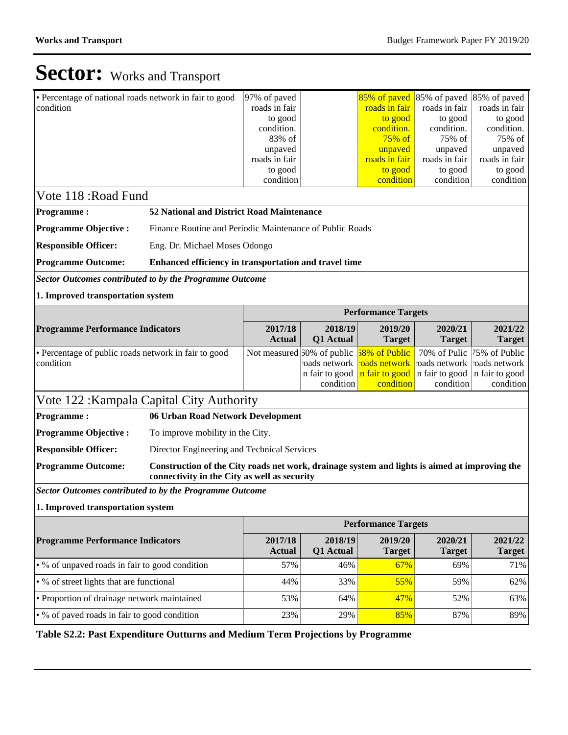| 97% of paved<br>roads in fair<br>to good<br>condition.<br>83% of<br>unpaved<br>roads in fair<br>to good<br>condition                                                                                      |                                                                | roads in fair<br>to good<br>condition.<br>$75\%$ of<br>unpaved<br>roads in fair<br>to good | roads in fair<br>to good<br>condition.<br>$75%$ of<br>unpaved<br>roads in fair<br>to good<br>condition                                                                     | roads in fair<br>to good<br>condition.<br>75% of<br>unpaved<br>roads in fair<br>to good<br>condition |  |  |  |  |  |  |  |  |
|-----------------------------------------------------------------------------------------------------------------------------------------------------------------------------------------------------------|----------------------------------------------------------------|--------------------------------------------------------------------------------------------|----------------------------------------------------------------------------------------------------------------------------------------------------------------------------|------------------------------------------------------------------------------------------------------|--|--|--|--|--|--|--|--|
| <b>Programme Objective:</b><br>Eng. Dr. Michael Moses Odongo                                                                                                                                              |                                                                |                                                                                            |                                                                                                                                                                            |                                                                                                      |  |  |  |  |  |  |  |  |
| <b>Responsible Officer:</b><br><b>Programme Outcome:</b><br>Enhanced efficiency in transportation and travel time                                                                                         |                                                                |                                                                                            |                                                                                                                                                                            |                                                                                                      |  |  |  |  |  |  |  |  |
| <b>Sector Outcomes contributed to by the Programme Outcome</b>                                                                                                                                            |                                                                |                                                                                            |                                                                                                                                                                            |                                                                                                      |  |  |  |  |  |  |  |  |
| 1. Improved transportation system                                                                                                                                                                         |                                                                |                                                                                            |                                                                                                                                                                            |                                                                                                      |  |  |  |  |  |  |  |  |
| <b>Performance Targets</b>                                                                                                                                                                                |                                                                |                                                                                            |                                                                                                                                                                            |                                                                                                      |  |  |  |  |  |  |  |  |
| 2017/18<br><b>Actual</b>                                                                                                                                                                                  | Q1 Actual                                                      | 2019/20<br><b>Target</b>                                                                   | 2020/21<br><b>Target</b>                                                                                                                                                   | 2021/22<br><b>Target</b>                                                                             |  |  |  |  |  |  |  |  |
|                                                                                                                                                                                                           |                                                                | 58% of Public<br>roads network<br>condition                                                | 70% of Pulic<br>roads network<br>in fair to good<br>condition                                                                                                              | 75% of Public<br>roads network<br>in fair to good<br>condition                                       |  |  |  |  |  |  |  |  |
| Vote 122: Kampala Capital City Authority                                                                                                                                                                  |                                                                |                                                                                            |                                                                                                                                                                            |                                                                                                      |  |  |  |  |  |  |  |  |
| 06 Urban Road Network Development                                                                                                                                                                         |                                                                |                                                                                            |                                                                                                                                                                            |                                                                                                      |  |  |  |  |  |  |  |  |
| To improve mobility in the City.                                                                                                                                                                          |                                                                |                                                                                            |                                                                                                                                                                            |                                                                                                      |  |  |  |  |  |  |  |  |
| Director Engineering and Technical Services                                                                                                                                                               |                                                                |                                                                                            |                                                                                                                                                                            |                                                                                                      |  |  |  |  |  |  |  |  |
| <b>Responsible Officer:</b><br><b>Programme Outcome:</b><br>Construction of the City roads net work, drainage system and lights is aimed at improving the<br>connectivity in the City as well as security |                                                                |                                                                                            |                                                                                                                                                                            |                                                                                                      |  |  |  |  |  |  |  |  |
|                                                                                                                                                                                                           |                                                                |                                                                                            |                                                                                                                                                                            |                                                                                                      |  |  |  |  |  |  |  |  |
|                                                                                                                                                                                                           |                                                                |                                                                                            |                                                                                                                                                                            |                                                                                                      |  |  |  |  |  |  |  |  |
| <b>Performance Targets</b>                                                                                                                                                                                |                                                                |                                                                                            |                                                                                                                                                                            |                                                                                                      |  |  |  |  |  |  |  |  |
| 2017/18<br><b>Actual</b>                                                                                                                                                                                  | Q1 Actual                                                      | 2019/20<br><b>Target</b>                                                                   | 2020/21<br><b>Target</b>                                                                                                                                                   | 2021/22<br><b>Target</b>                                                                             |  |  |  |  |  |  |  |  |
| 57%                                                                                                                                                                                                       |                                                                | 67%                                                                                        | 69%                                                                                                                                                                        | 71%                                                                                                  |  |  |  |  |  |  |  |  |
| 44%                                                                                                                                                                                                       |                                                                |                                                                                            | 59%                                                                                                                                                                        | 62%                                                                                                  |  |  |  |  |  |  |  |  |
| 53%                                                                                                                                                                                                       |                                                                | 47%                                                                                        | 52%                                                                                                                                                                        | 63%                                                                                                  |  |  |  |  |  |  |  |  |
| 23%                                                                                                                                                                                                       |                                                                |                                                                                            | 87%                                                                                                                                                                        | 89%                                                                                                  |  |  |  |  |  |  |  |  |
|                                                                                                                                                                                                           | <b>Sector Outcomes contributed to by the Programme Outcome</b> | 52 National and District Road Maintenance<br>Not measured $50\%$ of public                 | Finance Routine and Periodic Maintenance of Public Roads<br>2018/19<br>oads network<br>in fair to good in fair to good<br>condition<br>2018/19<br>46%<br>33%<br>64%<br>29% | 85% of paved 85% of paved 85% of paved<br>condition<br>55%<br>85%                                    |  |  |  |  |  |  |  |  |

**Table S2.2: Past Expenditure Outturns and Medium Term Projections by Programme**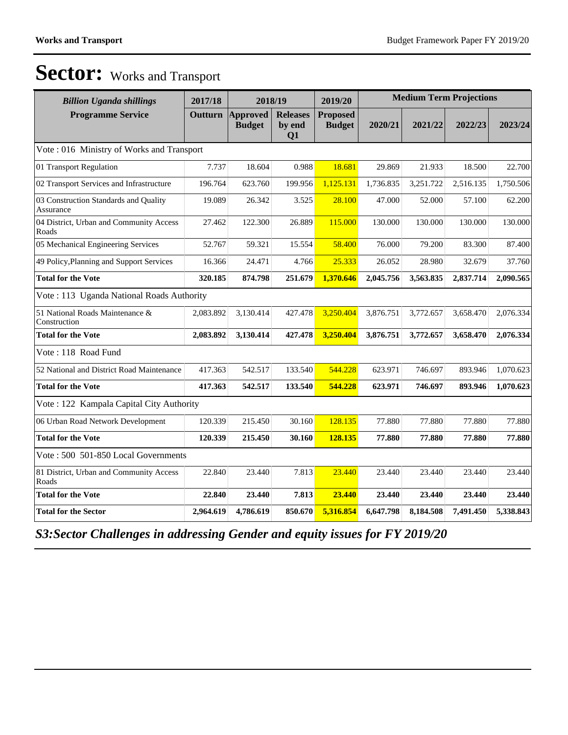| <b>Billion Uganda shillings</b>                    | 2017/18<br>2018/19 |                                  |                                 | 2019/20                          | <b>Medium Term Projections</b> |           |           |           |  |  |  |  |
|----------------------------------------------------|--------------------|----------------------------------|---------------------------------|----------------------------------|--------------------------------|-----------|-----------|-----------|--|--|--|--|
| <b>Programme Service</b>                           | <b>Outturn</b>     | <b>Approved</b><br><b>Budget</b> | <b>Releases</b><br>by end<br>Q1 | <b>Proposed</b><br><b>Budget</b> | 2020/21                        | 2021/22   | 2022/23   | 2023/24   |  |  |  |  |
| Vote: 016 Ministry of Works and Transport          |                    |                                  |                                 |                                  |                                |           |           |           |  |  |  |  |
| 01 Transport Regulation                            | 7.737              | 18.604                           | 0.988                           | 18.681                           | 29.869                         | 21.933    | 18.500    | 22.700    |  |  |  |  |
| 02 Transport Services and Infrastructure           | 196.764            | 623.760                          | 199.956                         | 1,125.131                        | 1,736.835                      | 3,251.722 | 2,516.135 | 1,750.506 |  |  |  |  |
| 03 Construction Standards and Quality<br>Assurance | 19.089             | 26.342                           | 3.525                           | 28.100                           | 47.000                         | 52.000    | 57.100    | 62.200    |  |  |  |  |
| 04 District, Urban and Community Access<br>Roads   | 27.462             | 122.300                          | 26.889                          | 115.000                          | 130.000                        | 130.000   | 130.000   | 130.000   |  |  |  |  |
| 05 Mechanical Engineering Services                 | 52.767             | 59.321                           | 15.554                          | 58.400                           | 76.000                         | 79.200    | 83.300    | 87.400    |  |  |  |  |
| 49 Policy, Planning and Support Services           | 16.366             | 24.471                           | 4.766                           | 25.333                           | 26.052                         | 28.980    | 32.679    | 37.760    |  |  |  |  |
| <b>Total for the Vote</b>                          | 320.185            | 874.798                          | 251.679                         | 1,370.646                        | 2,045.756                      | 3,563.835 | 2,837.714 | 2,090.565 |  |  |  |  |
| Vote: 113 Uganda National Roads Authority          |                    |                                  |                                 |                                  |                                |           |           |           |  |  |  |  |
| 51 National Roads Maintenance &<br>Construction    | 2,083.892          | 3,130.414                        | 427.478                         | 3,250.404                        | 3,876.751                      | 3,772.657 | 3,658.470 | 2,076.334 |  |  |  |  |
| <b>Total for the Vote</b>                          | 2,083.892          | 3,130.414                        | 427.478                         | 3,250.404                        | 3,876.751                      | 3,772.657 | 3,658.470 | 2,076.334 |  |  |  |  |
| Vote: 118 Road Fund                                |                    |                                  |                                 |                                  |                                |           |           |           |  |  |  |  |
| 52 National and District Road Maintenance          | 417.363            | 542.517                          | 133.540                         | 544.228                          | 623.971                        | 746.697   | 893.946   | 1,070.623 |  |  |  |  |
| <b>Total for the Vote</b>                          | 417.363            | 542.517                          | 133.540                         | 544,228                          | 623.971                        | 746.697   | 893.946   | 1,070.623 |  |  |  |  |
| Vote: 122 Kampala Capital City Authority           |                    |                                  |                                 |                                  |                                |           |           |           |  |  |  |  |
| 06 Urban Road Network Development                  | 120.339            | 215.450                          | 30.160                          | 128.135                          | 77.880                         | 77.880    | 77.880    | 77.880    |  |  |  |  |
| <b>Total for the Vote</b>                          | 120.339            | 215.450                          | 30.160                          | 128.135                          | 77.880                         | 77.880    | 77.880    | 77.880    |  |  |  |  |
| Vote: 500 501-850 Local Governments                |                    |                                  |                                 |                                  |                                |           |           |           |  |  |  |  |
| 81 District, Urban and Community Access<br>Roads   | 22.840             | 23.440                           | 7.813                           | 23.440                           | 23.440                         | 23.440    | 23.440    | 23.440    |  |  |  |  |
| <b>Total for the Vote</b>                          | 22.840             | 23.440                           | 7.813                           | 23.440                           | 23.440                         | 23.440    | 23.440    | 23.440    |  |  |  |  |
| <b>Total for the Sector</b>                        | 2,964.619          | 4,786.619                        | 850.670                         | 5,316.854                        | 6,647.798                      | 8,184.508 | 7,491.450 | 5,338.843 |  |  |  |  |

*S3:Sector Challenges in addressing Gender and equity issues for FY 2019/20*